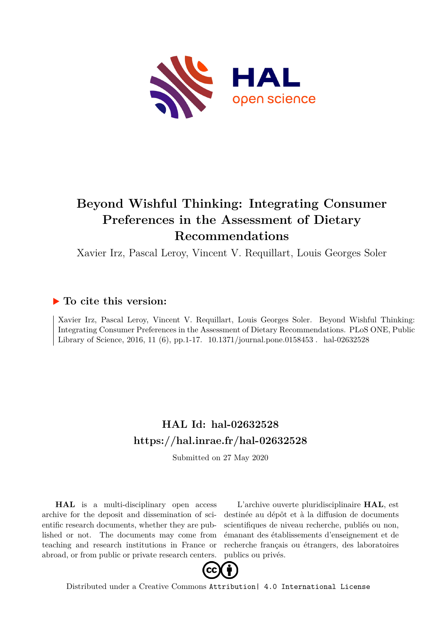

# **Beyond Wishful Thinking: Integrating Consumer Preferences in the Assessment of Dietary Recommendations**

Xavier Irz, Pascal Leroy, Vincent V. Requillart, Louis Georges Soler

## **To cite this version:**

Xavier Irz, Pascal Leroy, Vincent V. Requillart, Louis Georges Soler. Beyond Wishful Thinking: Integrating Consumer Preferences in the Assessment of Dietary Recommendations. PLoS ONE, Public Library of Science, 2016, 11 (6), pp.1-17.  $10.1371/journal.pone.0158453$ . hal-02632528

# **HAL Id: hal-02632528 <https://hal.inrae.fr/hal-02632528>**

Submitted on 27 May 2020

**HAL** is a multi-disciplinary open access archive for the deposit and dissemination of scientific research documents, whether they are published or not. The documents may come from teaching and research institutions in France or abroad, or from public or private research centers.

L'archive ouverte pluridisciplinaire **HAL**, est destinée au dépôt et à la diffusion de documents scientifiques de niveau recherche, publiés ou non, émanant des établissements d'enseignement et de recherche français ou étrangers, des laboratoires publics ou privés.



Distributed under a Creative Commons [Attribution| 4.0 International License](http://creativecommons.org/licenses/by/4.0/)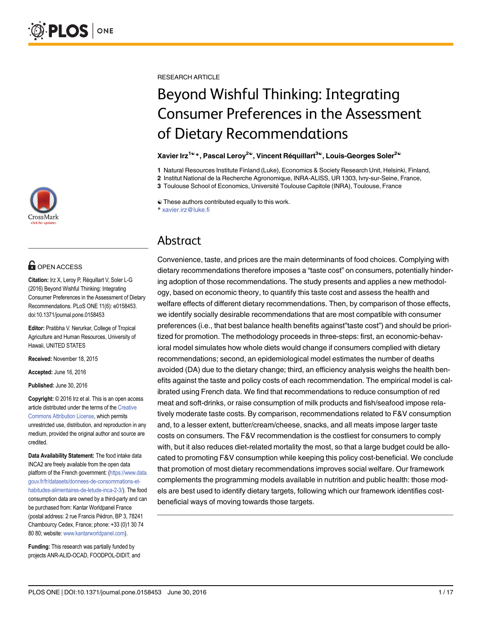

## **G** OPEN ACCESS

Citation: Irz X, Leroy P, Réquillart V, Soler L-G (2016) Beyond Wishful Thinking: Integrating Consumer Preferences in the Assessment of Dietary Recommendations. PLoS ONE 11(6): e0158453. doi:10.1371/journal.pone.0158453

Editor: Pratibha V. Nerurkar, College of Tropical Agriculture and Human Resources, University of Hawaii, UNITED STATES

Received: November 18, 2015

Accepted: June 16, 2016

Published: June 30, 2016

Copyright: © 2016 Irz et al. This is an open access article distributed under the terms of the [Creative](http://creativecommons.org/licenses/by/4.0/) [Commons Attribution License](http://creativecommons.org/licenses/by/4.0/), which permits unrestricted use, distribution, and reproduction in any medium, provided the original author and source are credited.

Data Availability Statement: The food intake data INCA2 are freely available from the open data platform of the French government: ([https://www.data.](https://www.data.gouv.fr/fr/datasets/donnees-de-consommations-et-habitudes-alimentaires-de-letude-inca-2-3/) [gouv.fr/fr/datasets/donnees-de-consommations-et](https://www.data.gouv.fr/fr/datasets/donnees-de-consommations-et-habitudes-alimentaires-de-letude-inca-2-3/)[habitudes-alimentaires-de-letude-inca-2-3/\)](https://www.data.gouv.fr/fr/datasets/donnees-de-consommations-et-habitudes-alimentaires-de-letude-inca-2-3/). The food consumption data are owned by a third-party and can be purchased from: Kantar Worldpanel France (postal address: 2 rue Francis Pédron, BP 3, 78241 Chambourcy Cedex, France; phone: +33 (0)1 30 74 80 80; website: [www.kantarworldpanel.com](http://www.kantarworldpanel.com)).

Funding: This research was partially funded by projects ANR-ALID-OCAD, FOODPOL-DIDIT, and RESEARCH ARTICLE

# Beyond Wishful Thinking: Integrating Consumer Preferences in the Assessment of Dietary Recommendations

#### Xavier Irz<sup>1©</sup> \*, Pascal Leroy<sup>2©</sup>, Vincent Réquillart<sup>3©</sup>, Louis-Georges Soler<sup>2©</sup>

1 Natural Resources Institute Finland (Luke), Economics & Society Research Unit, Helsinki, Finland,

2 Institut National de la Recherche Agronomique, INRA-ALISS, UR 1303, Ivry-sur-Seine, France,

3 Toulouse School of Economics, Université Toulouse Capitole (INRA), Toulouse, France

☯ These authors contributed equally to this work.

\* xavier.irz@luke.fi

## Abstract

Convenience, taste, and prices are the main determinants of food choices. Complying with dietary recommendations therefore imposes a "taste cost" on consumers, potentially hindering adoption of those recommendations. The study presents and applies a new methodology, based on economic theory, to quantify this taste cost and assess the health and welfare effects of different dietary recommendations. Then, by comparison of those effects, we identify socially desirable recommendations that are most compatible with consumer preferences (i.e., that best balance health benefits against"taste cost") and should be prioritized for promotion. The methodology proceeds in three-steps: first, an economic-behavioral model simulates how whole diets would change if consumers complied with dietary recommendations; second, an epidemiological model estimates the number of deaths avoided (DA) due to the dietary change; third, an efficiency analysis weighs the health benefits against the taste and policy costs of each recommendation. The empirical model is calibrated using French data. We find that recommendations to reduce consumption of red meat and soft-drinks, or raise consumption of milk products and fish/seafood impose relatively moderate taste costs. By comparison, recommendations related to F&V consumption and, to a lesser extent, butter/cream/cheese, snacks, and all meats impose larger taste costs on consumers. The F&V recommendation is the costliest for consumers to comply with, but it also reduces diet-related mortality the most, so that a large budget could be allocated to promoting F&V consumption while keeping this policy cost-beneficial. We conclude that promotion of most dietary recommendations improves social welfare. Our framework complements the programming models available in nutrition and public health: those models are best used to identify dietary targets, following which our framework identifies costbeneficial ways of moving towards those targets.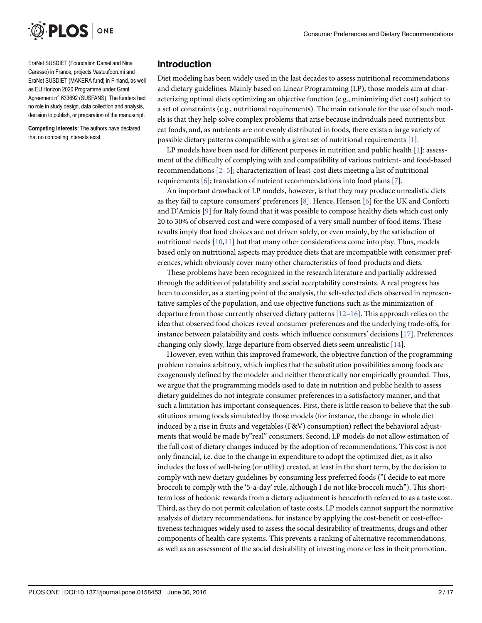

EraNet SUSDIET (Foundation Daniel and Nina Carasso) in France, projects Vastuufoorumi and EraNet SUSDIET (MAKERA fund) in Finland, as well as EU Horizon 2020 Programme under Grant Agreement n° 633692 (SUSFANS). The funders had no role in study design, data collection and analysis, decision to publish, or preparation of the manuscript.

Competing Interests: The authors have declared that no competing interests exist.

#### Introduction

Diet modeling has been widely used in the last decades to assess nutritional recommendations and dietary guidelines. Mainly based on Linear Programming (LP), those models aim at characterizing optimal diets optimizing an objective function (e.g., minimizing diet cost) subject to a set of constraints (e.g., nutritional requirements). The main rationale for the use of such models is that they help solve complex problems that arise because individuals need nutrients but eat foods, and, as nutrients are not evenly distributed in foods, there exists a large variety of possible dietary patterns compatible with a given set of nutritional requirements [1].

LP models have been used for different purposes in nutrition and public health  $[1]$ : assessment of the difficulty of complying with and compatibility of various nutrient- and food-based recommendations [2–5]; characterization of least-cost diets meeting a list of nutritional requirements  $[6]$ ; translation of nutrient recommendations into food plans  $[7]$ .

An important drawback of LP models, however, is that they may produce unrealistic diets as they fail to capture consumers' preferences [8]. Hence, Henson [6] for the UK and Conforti and D'Amicis [9] for Italy found that it was possible to compose healthy diets which cost only 20 to 30% of observed cost and were composed of a very small number of food items. These results imply that food choices are not driven solely, or even mainly, by the satisfaction of nutritional needs  $[10,11]$  but that many other considerations come into play. Thus, models based only on nutritional aspects may produce diets that are incompatible with consumer preferences, which obviously cover many other characteristics of food products and diets.

These problems have been recognized in the research literature and partially addressed through the addition of palatability and social acceptability constraints. A real progress has been to consider, as a starting point of the analysis, the self-selected diets observed in representative samples of the population, and use objective functions such as the minimization of departure from those currently observed dietary patterns [12–16]. This approach relies on the idea that observed food choices reveal consumer preferences and the underlying trade-offs, for instance between palatability and costs, which influence consumers' decisions  $[17]$ . Preferences changing only slowly, large departure from observed diets seem unrealistic [14].

However, even within this improved framework, the objective function of the programming problem remains arbitrary, which implies that the substitution possibilities among foods are exogenously defined by the modeler and neither theoretically nor empirically grounded. Thus, we argue that the programming models used to date in nutrition and public health to assess dietary guidelines do not integrate consumer preferences in a satisfactory manner, and that such a limitation has important consequences. First, there is little reason to believe that the substitutions among foods simulated by those models (for instance, the change in whole diet induced by a rise in fruits and vegetables (F&V) consumption) reflect the behavioral adjustments that would be made by"real" consumers. Second, LP models do not allow estimation of the full cost of dietary changes induced by the adoption of recommendations. This cost is not only financial, i.e. due to the change in expenditure to adopt the optimized diet, as it also includes the loss of well-being (or utility) created, at least in the short term, by the decision to comply with new dietary guidelines by consuming less preferred foods ("I decide to eat more broccoli to comply with the '5-a-day' rule, although I do not like broccoli much"). This shortterm loss of hedonic rewards from a dietary adjustment is henceforth referred to as a taste cost. Third, as they do not permit calculation of taste costs, LP models cannot support the normative analysis of dietary recommendations, for instance by applying the cost-benefit or cost-effectiveness techniques widely used to assess the social desirability of treatments, drugs and other components of health care systems. This prevents a ranking of alternative recommendations, as well as an assessment of the social desirability of investing more or less in their promotion.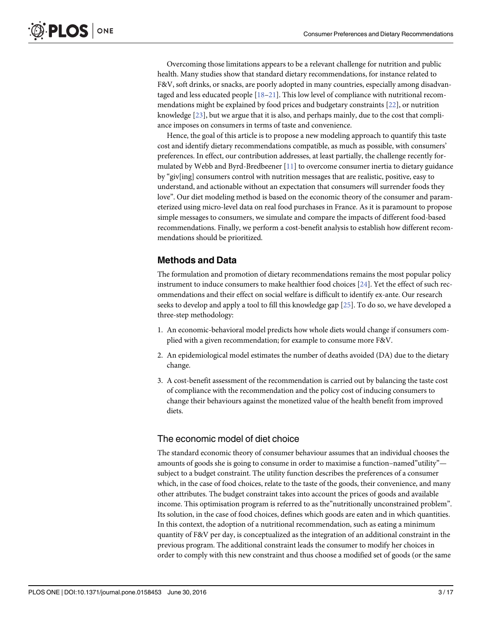Overcoming those limitations appears to be a relevant challenge for nutrition and public health. Many studies show that standard dietary recommendations, for instance related to F&V, soft drinks, or snacks, are poorly adopted in many countries, especially among disadvantaged and less educated people  $[18-21]$ . This low level of compliance with nutritional recommendations might be explained by food prices and budgetary constraints [22], or nutrition knowledge  $[23]$ , but we argue that it is also, and perhaps mainly, due to the cost that compliance imposes on consumers in terms of taste and convenience.

Hence, the goal of this article is to propose a new modeling approach to quantify this taste cost and identify dietary recommendations compatible, as much as possible, with consumers' preferences. In effect, our contribution addresses, at least partially, the challenge recently formulated by Webb and Byrd-Bredbeener [11] to overcome consumer inertia to dietary guidance by "giv[ing] consumers control with nutrition messages that are realistic, positive, easy to understand, and actionable without an expectation that consumers will surrender foods they love". Our diet modeling method is based on the economic theory of the consumer and parameterized using micro-level data on real food purchases in France. As it is paramount to propose simple messages to consumers, we simulate and compare the impacts of different food-based recommendations. Finally, we perform a cost-benefit analysis to establish how different recommendations should be prioritized.

## Methods and Data

The formulation and promotion of dietary recommendations remains the most popular policy instrument to induce consumers to make healthier food choices [24]. Yet the effect of such recommendations and their effect on social welfare is difficult to identify ex-ante. Our research seeks to develop and apply a tool to fill this knowledge gap [25]. To do so, we have developed a three-step methodology:

- 1. An economic-behavioral model predicts how whole diets would change if consumers complied with a given recommendation; for example to consume more F&V.
- 2. An epidemiological model estimates the number of deaths avoided (DA) due to the dietary change.
- 3. A cost-benefit assessment of the recommendation is carried out by balancing the taste cost of compliance with the recommendation and the policy cost of inducing consumers to change their behaviours against the monetized value of the health benefit from improved diets.

## The economic model of diet choice

The standard economic theory of consumer behaviour assumes that an individual chooses the amounts of goods she is going to consume in order to maximise a function–named"utility" subject to a budget constraint. The utility function describes the preferences of a consumer which, in the case of food choices, relate to the taste of the goods, their convenience, and many other attributes. The budget constraint takes into account the prices of goods and available income. This optimisation program is referred to as the"nutritionally unconstrained problem". Its solution, in the case of food choices, defines which goods are eaten and in which quantities. In this context, the adoption of a nutritional recommendation, such as eating a minimum quantity of F&V per day, is conceptualized as the integration of an additional constraint in the previous program. The additional constraint leads the consumer to modify her choices in order to comply with this new constraint and thus choose a modified set of goods (or the same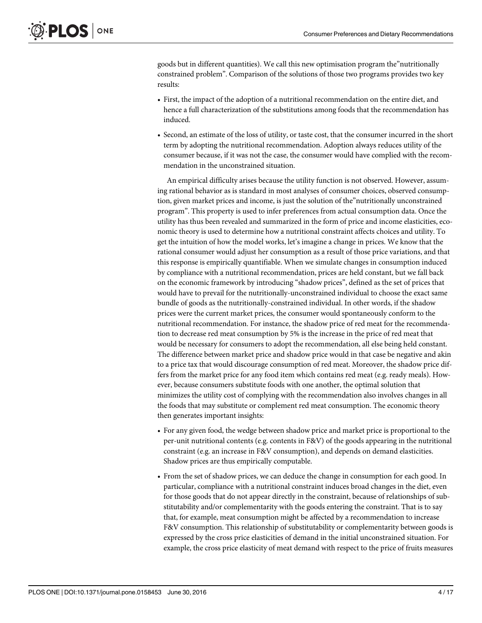goods but in different quantities). We call this new optimisation program the"nutritionally constrained problem". Comparison of the solutions of those two programs provides two key results:

- First, the impact of the adoption of a nutritional recommendation on the entire diet, and hence a full characterization of the substitutions among foods that the recommendation has induced.
- Second, an estimate of the loss of utility, or taste cost, that the consumer incurred in the short term by adopting the nutritional recommendation. Adoption always reduces utility of the consumer because, if it was not the case, the consumer would have complied with the recommendation in the unconstrained situation.

An empirical difficulty arises because the utility function is not observed. However, assuming rational behavior as is standard in most analyses of consumer choices, observed consumption, given market prices and income, is just the solution of the"nutritionally unconstrained program". This property is used to infer preferences from actual consumption data. Once the utility has thus been revealed and summarized in the form of price and income elasticities, economic theory is used to determine how a nutritional constraint affects choices and utility. To get the intuition of how the model works, let's imagine a change in prices. We know that the rational consumer would adjust her consumption as a result of those price variations, and that this response is empirically quantifiable. When we simulate changes in consumption induced by compliance with a nutritional recommendation, prices are held constant, but we fall back on the economic framework by introducing "shadow prices", defined as the set of prices that would have to prevail for the nutritionally-unconstrained individual to choose the exact same bundle of goods as the nutritionally-constrained individual. In other words, if the shadow prices were the current market prices, the consumer would spontaneously conform to the nutritional recommendation. For instance, the shadow price of red meat for the recommendation to decrease red meat consumption by 5% is the increase in the price of red meat that would be necessary for consumers to adopt the recommendation, all else being held constant. The difference between market price and shadow price would in that case be negative and akin to a price tax that would discourage consumption of red meat. Moreover, the shadow price differs from the market price for any food item which contains red meat (e.g. ready meals). However, because consumers substitute foods with one another, the optimal solution that minimizes the utility cost of complying with the recommendation also involves changes in all the foods that may substitute or complement red meat consumption. The economic theory then generates important insights:

- For any given food, the wedge between shadow price and market price is proportional to the per-unit nutritional contents (e.g. contents in F&V) of the goods appearing in the nutritional constraint (e.g. an increase in F&V consumption), and depends on demand elasticities. Shadow prices are thus empirically computable.
- From the set of shadow prices, we can deduce the change in consumption for each good. In particular, compliance with a nutritional constraint induces broad changes in the diet, even for those goods that do not appear directly in the constraint, because of relationships of substitutability and/or complementarity with the goods entering the constraint. That is to say that, for example, meat consumption might be affected by a recommendation to increase F&V consumption. This relationship of substitutability or complementarity between goods is expressed by the cross price elasticities of demand in the initial unconstrained situation. For example, the cross price elasticity of meat demand with respect to the price of fruits measures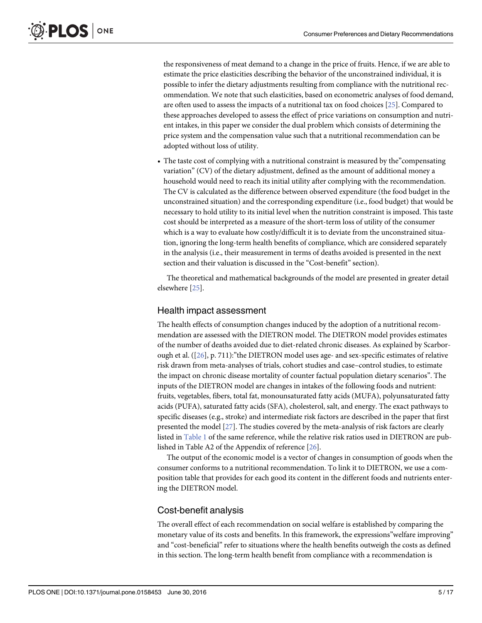the responsiveness of meat demand to a change in the price of fruits. Hence, if we are able to estimate the price elasticities describing the behavior of the unconstrained individual, it is possible to infer the dietary adjustments resulting from compliance with the nutritional recommendation. We note that such elasticities, based on econometric analyses of food demand, are often used to assess the impacts of a nutritional tax on food choices [25]. Compared to these approaches developed to assess the effect of price variations on consumption and nutrient intakes, in this paper we consider the dual problem which consists of determining the price system and the compensation value such that a nutritional recommendation can be adopted without loss of utility.

• The taste cost of complying with a nutritional constraint is measured by the "compensating" variation" (CV) of the dietary adjustment, defined as the amount of additional money a household would need to reach its initial utility after complying with the recommendation. The CV is calculated as the difference between observed expenditure (the food budget in the unconstrained situation) and the corresponding expenditure (i.e., food budget) that would be necessary to hold utility to its initial level when the nutrition constraint is imposed. This taste cost should be interpreted as a measure of the short-term loss of utility of the consumer which is a way to evaluate how costly/difficult it is to deviate from the unconstrained situation, ignoring the long-term health benefits of compliance, which are considered separately in the analysis (i.e., their measurement in terms of deaths avoided is presented in the next section and their valuation is discussed in the "Cost-benefit" section).

The theoretical and mathematical backgrounds of the model are presented in greater detail elsewhere [25].

#### Health impact assessment

The health effects of consumption changes induced by the adoption of a nutritional recommendation are assessed with the DIETRON model. The DIETRON model provides estimates of the number of deaths avoided due to diet-related chronic diseases. As explained by Scarborough et al.  $([26], p. 711)$ : "the DIETRON model uses age- and sex-specific estimates of relative risk drawn from meta-analyses of trials, cohort studies and case–control studies, to estimate the impact on chronic disease mortality of counter factual population dietary scenarios". The inputs of the DIETRON model are changes in intakes of the following foods and nutrient: fruits, vegetables, fibers, total fat, monounsaturated fatty acids (MUFA), polyunsaturated fatty acids (PUFA), saturated fatty acids (SFA), cholesterol, salt, and energy. The exact pathways to specific diseases (e.g., stroke) and intermediate risk factors are described in the paper that first presented the model [27]. The studies covered by the meta-analysis of risk factors are clearly listed in Table 1 of the same reference, while the relative risk ratios used in DIETRON are published in Table A2 of the Appendix of reference [26].

The output of the economic model is a vector of changes in consumption of goods when the consumer conforms to a nutritional recommendation. To link it to DIETRON, we use a composition table that provides for each good its content in the different foods and nutrients entering the DIETRON model.

#### Cost-benefit analysis

The overall effect of each recommendation on social welfare is established by comparing the monetary value of its costs and benefits. In this framework, the expressions"welfare improving" and "cost-beneficial" refer to situations where the health benefits outweigh the costs as defined in this section. The long-term health benefit from compliance with a recommendation is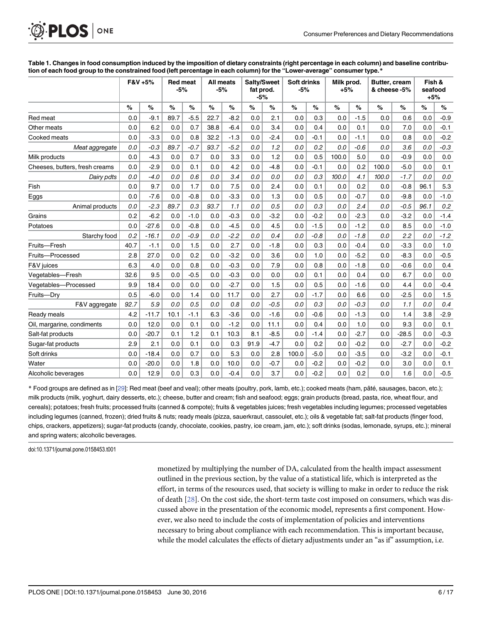| <b>O. PLOS</b> ONE |  |
|--------------------|--|
|--------------------|--|

|                                | F&V +5% |         | <b>Red meat</b><br>$-5%$ |        | All meats<br>$-5%$ |        | Salty/Sweet<br>fat prod.<br>$-5%$ |        | <b>Soft drinks</b><br>$-5%$ |        | Milk prod.<br>$+5%$ |        | Butter, cream<br>& cheese -5% |         | Fish &<br>seafood<br>$+5%$ |        |
|--------------------------------|---------|---------|--------------------------|--------|--------------------|--------|-----------------------------------|--------|-----------------------------|--------|---------------------|--------|-------------------------------|---------|----------------------------|--------|
|                                | $\%$    | %       | $\%$                     | %      | %                  | %      | $\%$                              | $\%$   | %                           | %      | %                   | %      | $\%$                          | $\%$    | %                          | %      |
| Red meat                       | 0.0     | $-9.1$  | 89.7                     | $-5.5$ | 22.7               | $-8.2$ | 0.0                               | 2.1    | 0.0                         | 0.3    | 0.0                 | $-1.5$ | 0.0                           | 0.6     | 0.0                        | $-0.9$ |
| Other meats                    | 0.0     | 6.2     | 0.0                      | 0.7    | 38.8               | $-6.4$ | 0.0                               | 3.4    | 0.0                         | 0.4    | 0.0                 | 0.1    | 0.0                           | 7.0     | 0.0                        | $-0.1$ |
| Cooked meats                   | 0.0     | $-3.3$  | 0.0                      | 0.8    | 32.2               | $-1.3$ | 0.0                               | $-2.4$ | 0.0                         | $-0.1$ | 0.0                 | $-1.1$ | 0.0                           | 0.8     | 0.0                        | $-0.2$ |
| Meat aggregate                 | 0.0     | $-0.3$  | 89.7                     | $-0.7$ | 93.7               | $-5.2$ | 0.0                               | 1.2    | 0.0                         | 0.2    | 0.0                 | $-0.6$ | 0.0                           | 3.6     | 0.0                        | $-0.3$ |
| Milk products                  | 0.0     | $-4.3$  | 0.0                      | 0.7    | 0.0                | 3.3    | 0.0                               | 1.2    | 0.0                         | 0.5    | 100.0               | 5.0    | 0.0                           | $-0.9$  | 0.0                        | 0.0    |
| Cheeses, butters, fresh creams | 0.0     | $-2.9$  | 0.0                      | 0.1    | 0.0                | 4.2    | 0.0                               | $-4.8$ | 0.0                         | $-0.1$ | 0.0                 | 0.2    | 100.0                         | $-5.0$  | 0.0                        | 0.1    |
| Dairy pdts                     | 0.0     | $-4.0$  | 0.0                      | 0.6    | 0.0                | 3.4    | 0.0                               | 0.0    | 0.0                         | 0.3    | 100.0               | 4.1    | 100.0                         | $-1.7$  | 0.0                        | 0.0    |
| Fish                           | 0.0     | 9.7     | 0.0                      | 1.7    | 0.0                | 7.5    | 0.0                               | 2.4    | 0.0                         | 0.1    | 0.0                 | 0.2    | 0.0                           | $-0.8$  | 96.1                       | 5.3    |
| Eggs                           | 0.0     | $-7.6$  | 0.0                      | $-0.8$ | 0.0                | $-3.3$ | 0.0                               | 1.3    | 0.0                         | 0.5    | 0.0                 | $-0.7$ | 0.0                           | $-9.8$  | 0.0                        | $-1.0$ |
| Animal products                | 0.0     | $-2.3$  | 89.7                     | 0.3    | 93.7               | 1.1    | 0.0                               | 0.5    | 0.0                         | 0.3    | 0.0                 | 2.4    | 0.0                           | $-0.5$  | 96.1                       | 0.2    |
| Grains                         | 0.2     | $-6.2$  | 0.0                      | $-1.0$ | 0.0                | $-0.3$ | 0.0                               | $-3.2$ | 0.0                         | $-0.2$ | 0.0                 | $-2.3$ | 0.0                           | $-3.2$  | 0.0                        | $-1.4$ |
| Potatoes                       | 0.0     | $-27.6$ | 0.0                      | $-0.8$ | 0.0                | $-4.5$ | 0.0                               | 4.5    | 0.0                         | $-1.5$ | 0.0                 | $-1.2$ | 0.0                           | 8.5     | 0.0                        | $-1.0$ |
| Starchy food                   | 0.2     | $-16.1$ | 0.0                      | $-0.9$ | 0.0                | $-2.2$ | 0.0                               | 0.4    | 0.0                         | $-0.8$ | 0.0                 | $-1.8$ | 0.0                           | 2.2     | 0.0                        | $-1.2$ |
| Fruits-Fresh                   | 40.7    | $-1.1$  | 0.0                      | 1.5    | 0.0                | 2.7    | 0.0                               | $-1.8$ | 0.0                         | 0.3    | 0.0                 | $-0.4$ | 0.0                           | $-3.3$  | 0.0                        | 1.0    |
| Fruits-Processed               | 2.8     | 27.0    | 0.0                      | 0.2    | 0.0                | $-3.2$ | 0.0                               | 3.6    | 0.0                         | 1.0    | 0.0                 | $-5.2$ | 0.0                           | $-8.3$  | 0.0                        | $-0.5$ |
| F&V juices                     | 6.3     | 4.0     | 0.0                      | 0.8    | 0.0                | $-0.3$ | 0.0                               | 7.9    | 0.0                         | 0.8    | 0.0                 | $-1.8$ | 0.0                           | $-0.6$  | 0.0                        | 0.4    |
| Vegetables-Fresh               | 32.6    | 9.5     | 0.0                      | $-0.5$ | 0.0                | $-0.3$ | 0.0                               | 0.0    | 0.0                         | 0.1    | 0.0                 | 0.4    | 0.0                           | 6.7     | 0.0                        | 0.0    |
| Vegetables-Processed           | 9.9     | 18.4    | 0.0                      | 0.0    | 0.0                | $-2.7$ | 0.0                               | 1.5    | 0.0                         | 0.5    | 0.0                 | $-1.6$ | 0.0                           | 4.4     | 0.0                        | $-0.4$ |
| Fruits-Dry                     | 0.5     | $-6.0$  | 0.0                      | 1.4    | 0.0                | 11.7   | 0.0                               | 2.7    | 0.0                         | $-1.7$ | 0.0                 | 6.6    | 0.0                           | $-2.5$  | 0.0                        | 1.5    |
| F&V aggregate                  | 92.7    | 5.9     | 0.0                      | 0.5    | 0.0                | 0.8    | 0.0                               | $-0.5$ | 0.0                         | 0.3    | 0.0                 | $-0.3$ | 0.0                           | 1.1     | 0.0                        | 0.4    |
| Ready meals                    | 4.2     | $-11.7$ | 10.1                     | $-1.1$ | 6.3                | $-3.6$ | 0.0                               | $-1.6$ | 0.0                         | $-0.6$ | 0.0                 | $-1.3$ | 0.0                           | 1.4     | 3.8                        | $-2.9$ |
| Oil, margarine, condiments     | 0.0     | 12.0    | 0.0                      | 0.1    | 0.0                | $-1.2$ | 0.0                               | 11.1   | 0.0                         | 0.4    | 0.0                 | 1.0    | 0.0                           | 9.3     | 0.0                        | 0.1    |
| Salt-fat products              | 0.0     | $-20.7$ | 0.1                      | 1.2    | 0.1                | 10.3   | 8.1                               | $-8.5$ | 0.0                         | $-1.4$ | 0.0                 | $-2.7$ | 0.0                           | $-28.5$ | 0.0                        | $-0.3$ |
| Sugar-fat products             | 2.9     | 2.1     | 0.0                      | 0.1    | 0.0                | 0.3    | 91.9                              | $-4.7$ | 0.0                         | 0.2    | 0.0                 | $-0.2$ | 0.0                           | $-2.7$  | 0.0                        | $-0.2$ |
| Soft drinks                    | 0.0     | $-18.4$ | 0.0                      | 0.7    | 0.0                | 5.3    | 0.0                               | 2.8    | 100.0                       | $-5.0$ | 0.0                 | $-3.5$ | 0.0                           | $-3.2$  | 0.0                        | $-0.1$ |
| Water                          | 0.0     | $-20.0$ | 0.0                      | 1.8    | 0.0                | 10.0   | 0.0                               | $-0.7$ | 0.0                         | $-0.2$ | 0.0                 | $-0.2$ | 0.0                           | 3.0     | 0.0                        | 0.1    |
| Alcoholic beverages            | 0.0     | 12.9    | 0.0                      | 0.3    | 0.0                | $-0.4$ | 0.0                               | 3.7    | 0.0                         | $-0.2$ | 0.0                 | 0.2    | 0.0                           | 1.6     | 0.0                        | $-0.5$ |

Table 1. Changes in food consumption induced by the imposition of dietary constraints (right percentage in each column) and baseline contribution of each food group to the constrained food (left percentage in each column) for the "Lower-average" consumer type.\*

\* Food groups are defined as in [29]: Red meat (beef and veal); other meats (poultry, pork, lamb, etc.); cooked meats (ham, pâté, sausages, bacon, etc.); milk products (milk, yoghurt, dairy desserts, etc.); cheese, butter and cream; fish and seafood; eggs; grain products (bread, pasta, rice, wheat flour, and cereals); potatoes; fresh fruits; processed fruits (canned & compote); fruits & vegetables juices; fresh vegetables including legumes; processed vegetables including legumes (canned, frozen); dried fruits & nuts; ready meals (pizza, sauerkraut, cassoulet, etc.); oils & vegetable fat; salt-fat products (finger food, chips, crackers, appetizers); sugar-fat products (candy, chocolate, cookies, pastry, ice cream, jam, etc.); soft drinks (sodas, lemonade, syrups, etc.); mineral and spring waters; alcoholic beverages.

doi:10.1371/journal.pone.0158453.t001

monetized by multiplying the number of DA, calculated from the health impact assessment outlined in the previous section, by the value of a statistical life, which is interpreted as the effort, in terms of the resources used, that society is willing to make in order to reduce the risk of death [28]. On the cost side, the short-term taste cost imposed on consumers, which was discussed above in the presentation of the economic model, represents a first component. However, we also need to include the costs of implementation of policies and interventions necessary to bring about compliance with each recommendation. This is important because, while the model calculates the effects of dietary adjustments under an "as if" assumption, i.e.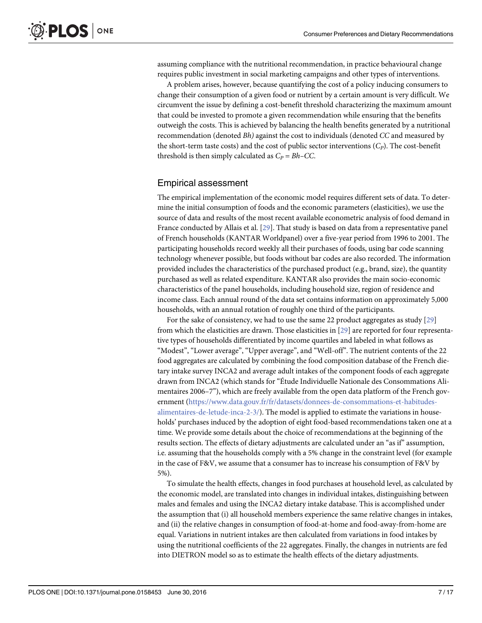assuming compliance with the nutritional recommendation, in practice behavioural change requires public investment in social marketing campaigns and other types of interventions.

A problem arises, however, because quantifying the cost of a policy inducing consumers to change their consumption of a given food or nutrient by a certain amount is very difficult. We circumvent the issue by defining a cost-benefit threshold characterizing the maximum amount that could be invested to promote a given recommendation while ensuring that the benefits outweigh the costs. This is achieved by balancing the health benefits generated by a nutritional recommendation (denoted Bh) against the cost to individuals (denoted CC and measured by the short-term taste costs) and the cost of public sector interventions  $(C_P)$ . The cost-benefit threshold is then simply calculated as  $C_P = Bh-CC$ .

#### Empirical assessment

The empirical implementation of the economic model requires different sets of data. To determine the initial consumption of foods and the economic parameters (elasticities), we use the source of data and results of the most recent available econometric analysis of food demand in France conducted by Allais et al. [29]. That study is based on data from a representative panel of French households (KANTAR Worldpanel) over a five-year period from 1996 to 2001. The participating households record weekly all their purchases of foods, using bar code scanning technology whenever possible, but foods without bar codes are also recorded. The information provided includes the characteristics of the purchased product (e.g., brand, size), the quantity purchased as well as related expenditure. KANTAR also provides the main socio-economic characteristics of the panel households, including household size, region of residence and income class. Each annual round of the data set contains information on approximately 5,000 households, with an annual rotation of roughly one third of the participants.

For the sake of consistency, we had to use the same 22 product aggregates as study [29] from which the elasticities are drawn. Those elasticities in [29] are reported for four representative types of households differentiated by income quartiles and labeled in what follows as "Modest", "Lower average", "Upper average", and "Well-off". The nutrient contents of the 22 food aggregates are calculated by combining the food composition database of the French dietary intake survey INCA2 and average adult intakes of the component foods of each aggregate drawn from INCA2 (which stands for "Étude Individuelle Nationale des Consommations Alimentaires 2006–7"), which are freely available from the open data platform of the French government ([https://www.data.gouv.fr/fr/datasets/donnees-de-consommations-et-habitudes](https://www.data.gouv.fr/fr/datasets/donnees-de-consommations-et-habitudes-alimentaires-de-letude-inca-2-3/)[alimentaires-de-letude-inca-2-3/](https://www.data.gouv.fr/fr/datasets/donnees-de-consommations-et-habitudes-alimentaires-de-letude-inca-2-3/)). The model is applied to estimate the variations in households' purchases induced by the adoption of eight food-based recommendations taken one at a time. We provide some details about the choice of recommendations at the beginning of the results section. The effects of dietary adjustments are calculated under an "as if" assumption, i.e. assuming that the households comply with a 5% change in the constraint level (for example in the case of F&V, we assume that a consumer has to increase his consumption of F&V by 5%).

To simulate the health effects, changes in food purchases at household level, as calculated by the economic model, are translated into changes in individual intakes, distinguishing between males and females and using the INCA2 dietary intake database. This is accomplished under the assumption that (i) all household members experience the same relative changes in intakes, and (ii) the relative changes in consumption of food-at-home and food-away-from-home are equal. Variations in nutrient intakes are then calculated from variations in food intakes by using the nutritional coefficients of the 22 aggregates. Finally, the changes in nutrients are fed into DIETRON model so as to estimate the health effects of the dietary adjustments.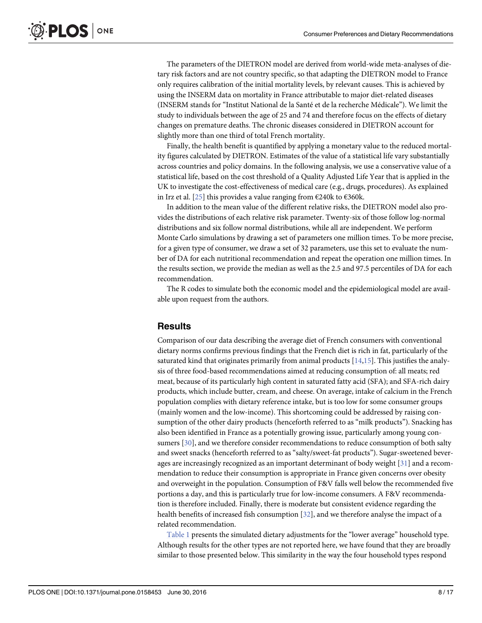The parameters of the DIETRON model are derived from world-wide meta-analyses of dietary risk factors and are not country specific, so that adapting the DIETRON model to France only requires calibration of the initial mortality levels, by relevant causes. This is achieved by using the INSERM data on mortality in France attributable to major diet-related diseases (INSERM stands for "Institut National de la Santé et de la recherche Médicale"). We limit the study to individuals between the age of 25 and 74 and therefore focus on the effects of dietary changes on premature deaths. The chronic diseases considered in DIETRON account for slightly more than one third of total French mortality.

Finally, the health benefit is quantified by applying a monetary value to the reduced mortality figures calculated by DIETRON. Estimates of the value of a statistical life vary substantially across countries and policy domains. In the following analysis, we use a conservative value of a statistical life, based on the cost threshold of a Quality Adjusted Life Year that is applied in the UK to investigate the cost-effectiveness of medical care (e.g., drugs, procedures). As explained in Irz et al. [25] this provides a value ranging from €240k to €360k.

In addition to the mean value of the different relative risks, the DIETRON model also provides the distributions of each relative risk parameter. Twenty-six of those follow log-normal distributions and six follow normal distributions, while all are independent. We perform Monte Carlo simulations by drawing a set of parameters one million times. To be more precise, for a given type of consumer, we draw a set of 32 parameters, use this set to evaluate the number of DA for each nutritional recommendation and repeat the operation one million times. In the results section, we provide the median as well as the 2.5 and 97.5 percentiles of DA for each recommendation.

The R codes to simulate both the economic model and the epidemiological model are available upon request from the authors.

#### **Results**

Comparison of our data describing the average diet of French consumers with conventional dietary norms confirms previous findings that the French diet is rich in fat, particularly of the saturated kind that originates primarily from animal products  $[14,15]$ . This justifies the analysis of three food-based recommendations aimed at reducing consumption of: all meats; red meat, because of its particularly high content in saturated fatty acid (SFA); and SFA-rich dairy products, which include butter, cream, and cheese. On average, intake of calcium in the French population complies with dietary reference intake, but is too low for some consumer groups (mainly women and the low-income). This shortcoming could be addressed by raising consumption of the other dairy products (henceforth referred to as "milk products"). Snacking has also been identified in France as a potentially growing issue, particularly among young consumers [30], and we therefore consider recommendations to reduce consumption of both salty and sweet snacks (henceforth referred to as "salty/sweet-fat products"). Sugar-sweetened beverages are increasingly recognized as an important determinant of body weight  $[31]$  and a recommendation to reduce their consumption is appropriate in France given concerns over obesity and overweight in the population. Consumption of F&V falls well below the recommended five portions a day, and this is particularly true for low-income consumers. A F&V recommendation is therefore included. Finally, there is moderate but consistent evidence regarding the health benefits of increased fish consumption [32], and we therefore analyse the impact of a related recommendation.

Table 1 presents the simulated dietary adjustments for the "lower average" household type. Although results for the other types are not reported here, we have found that they are broadly similar to those presented below. This similarity in the way the four household types respond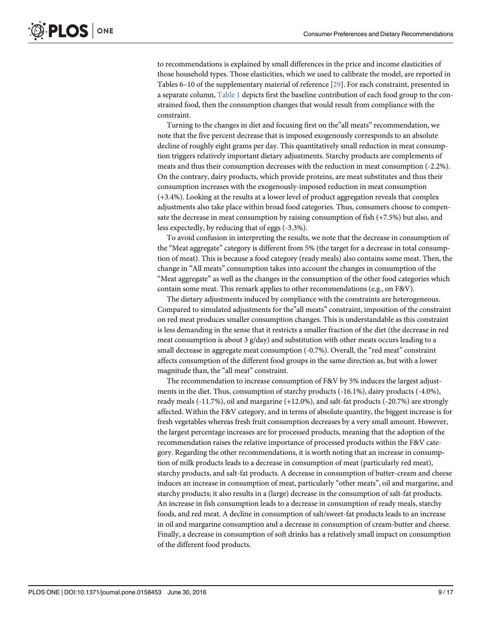to recommendations is explained by small differences in the price and income elasticities of those household types. Those elasticities, which we used to calibrate the model, are reported in Tables 6–10 of the supplementary material of reference [29]. For each constraint, presented in a separate column, Table 1 depicts first the baseline contribution of each food group to the constrained food, then the consumption changes that would result from compliance with the constraint.

Turning to the changes in diet and focusing first on the"all meats" recommendation, we note that the five percent decrease that is imposed exogenously corresponds to an absolute decline of roughly eight grams per day. This quantitatively small reduction in meat consumption triggers relatively important dietary adjustments. Starchy products are complements of meats and thus their consumption decreases with the reduction in meat consumption (-2.2%). On the contrary, dairy products, which provide proteins, are meat substitutes and thus their consumption increases with the exogenously-imposed reduction in meat consumption (+3.4%). Looking at the results at a lower level of product aggregation reveals that complex adjustments also take place within broad food categories. Thus, consumers choose to compensate the decrease in meat consumption by raising consumption of fish (+7.5%) but also, and less expectedly, by reducing that of eggs (-3.3%).

To avoid confusion in interpreting the results, we note that the decrease in consumption of the "Meat aggregate" category is different from 5% (the target for a decrease in total consumption of meat). This is because a food category (ready meals) also contains some meat. Then, the change in "All meats" consumption takes into account the changes in consumption of the "Meat aggregate" as well as the changes in the consumption of the other food categories which contain some meat. This remark applies to other recommendations (e.g., on F&V).

The dietary adjustments induced by compliance with the constraints are heterogeneous. Compared to simulated adjustments for the"all meats" constraint, imposition of the constraint on red meat produces smaller consumption changes. This is understandable as this constraint is less demanding in the sense that it restricts a smaller fraction of the diet (the decrease in red meat consumption is about 3  $g/day$ ) and substitution with other meats occurs leading to a small decrease in aggregate meat consumption (-0.7%). Overall, the "red meat" constraint affects consumption of the different food groups in the same direction as, but with a lower magnitude than, the "all meat" constraint.

The recommendation to increase consumption of F&V by 5% induces the largest adjustments in the diet. Thus, consumption of starchy products (-16.1%), dairy products (-4.0%), ready meals (-11.7%), oil and margarine (+12.0%), and salt-fat products (-20.7%) are strongly affected. Within the F&V category, and in terms of absolute quantity, the biggest increase is for fresh vegetables whereas fresh fruit consumption decreases by a very small amount. However, the largest percentage increases are for processed products, meaning that the adoption of the recommendation raises the relative importance of processed products within the F&V category. Regarding the other recommendations, it is worth noting that an increase in consumption of milk products leads to a decrease in consumption of meat (particularly red meat), starchy products, and salt-fat products. A decrease in consumption of butter-cream and cheese induces an increase in consumption of meat, particularly "other meats", oil and margarine, and starchy products; it also results in a (large) decrease in the consumption of salt-fat products. An increase in fish consumption leads to a decrease in consumption of ready meals, starchy foods, and red meat. A decline in consumption of salt/sweet-fat products leads to an increase in oil and margarine consumption and a decrease in consumption of cream-butter and cheese. Finally, a decrease in consumption of soft drinks has a relatively small impact on consumption of the different food products.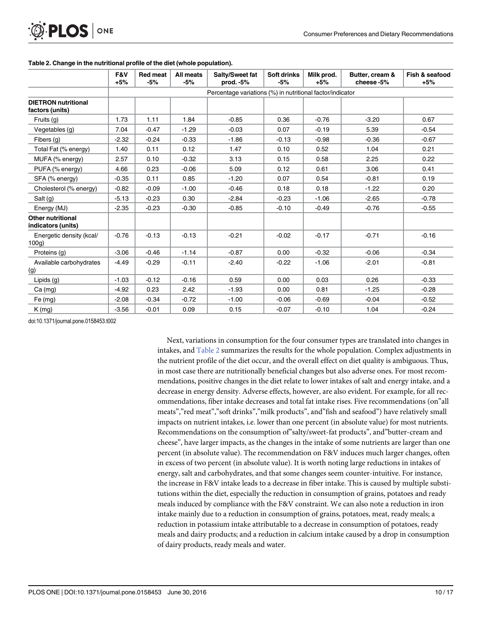|                                                | F&V<br>$+5%$                                              | <b>Red meat</b><br>$-5%$ | All meats<br>-5% | Salty/Sweet fat<br>prod. -5% | <b>Soft drinks</b><br>$-5%$ | Milk prod.<br>$+5%$ | Butter, cream &<br>cheese-5% | Fish & seafood<br>$+5%$ |  |  |  |
|------------------------------------------------|-----------------------------------------------------------|--------------------------|------------------|------------------------------|-----------------------------|---------------------|------------------------------|-------------------------|--|--|--|
|                                                | Percentage variations (%) in nutritional factor/indicator |                          |                  |                              |                             |                     |                              |                         |  |  |  |
| <b>DIETRON</b> nutritional<br>factors (units)  |                                                           |                          |                  |                              |                             |                     |                              |                         |  |  |  |
| Fruits (g)                                     | 1.73                                                      | 1.11                     | 1.84             | $-0.85$                      | 0.36                        | $-0.76$             | $-3.20$                      | 0.67                    |  |  |  |
| Vegetables (g)                                 | 7.04                                                      | $-0.47$                  | $-1.29$          | $-0.03$                      | 0.07                        | $-0.19$             | 5.39                         | $-0.54$                 |  |  |  |
| Fibers (g)                                     | $-2.32$                                                   | $-0.24$                  | $-0.33$          | $-1.86$                      | $-0.13$                     | $-0.98$             | $-0.36$                      | $-0.67$                 |  |  |  |
| Total Fat (% energy)                           | 1.40                                                      | 0.11                     | 0.12             | 1.47                         | 0.10                        | 0.52                | 1.04                         | 0.21                    |  |  |  |
| MUFA (% energy)                                | 2.57                                                      | 0.10                     | $-0.32$          | 3.13                         | 0.15                        | 0.58                | 2.25                         | 0.22                    |  |  |  |
| PUFA (% energy)                                | 4.66                                                      | 0.23                     | $-0.06$          | 5.09                         | 0.12                        | 0.61                | 3.06                         | 0.41                    |  |  |  |
| SFA (% energy)                                 | $-0.35$                                                   | 0.11                     | 0.85             | $-1.20$                      | 0.07                        | 0.54                | $-0.81$                      | 0.19                    |  |  |  |
| Cholesterol (% energy)                         | $-0.82$                                                   | $-0.09$                  | $-1.00$          | $-0.46$                      | 0.18                        | 0.18                | $-1.22$                      | 0.20                    |  |  |  |
| Salt $(g)$                                     | $-5.13$                                                   | $-0.23$                  | 0.30             | $-2.84$                      | $-0.23$                     | $-1.06$             | $-2.65$                      | $-0.78$                 |  |  |  |
| Energy (MJ)                                    | $-2.35$                                                   | $-0.23$                  | $-0.30$          | $-0.85$                      | $-0.10$                     | $-0.49$             | $-0.76$                      | $-0.55$                 |  |  |  |
| <b>Other nutritional</b><br>indicators (units) |                                                           |                          |                  |                              |                             |                     |                              |                         |  |  |  |
| Energetic density (kcal/<br>100q               | $-0.76$                                                   | $-0.13$                  | $-0.13$          | $-0.21$                      | $-0.02$                     | $-0.17$             | $-0.71$                      | $-0.16$                 |  |  |  |
| Proteins (g)                                   | $-3.06$                                                   | $-0.46$                  | $-1.14$          | $-0.87$                      | 0.00                        | $-0.32$             | $-0.06$                      | $-0.34$                 |  |  |  |
| Available carbohydrates<br>(g)                 | $-4.49$                                                   | $-0.29$                  | $-0.11$          | $-2.40$                      | $-0.22$                     | $-1.06$             | $-2.01$                      | $-0.81$                 |  |  |  |
| Lipids $(q)$                                   | $-1.03$                                                   | $-0.12$                  | $-0.16$          | 0.59                         | 0.00                        | 0.03                | 0.26                         | $-0.33$                 |  |  |  |
| $Ca$ (mg)                                      | $-4.92$                                                   | 0.23                     | 2.42             | $-1.93$                      | 0.00                        | 0.81                | $-1.25$                      | $-0.28$                 |  |  |  |
| $Fe$ (mg)                                      | $-2.08$                                                   | $-0.34$                  | $-0.72$          | $-1.00$                      | $-0.06$                     | $-0.69$             | $-0.04$                      | $-0.52$                 |  |  |  |
| K(mg)                                          | $-3.56$                                                   | $-0.01$                  | 0.09             | 0.15                         | $-0.07$                     | $-0.10$             | 1.04                         | $-0.24$                 |  |  |  |

#### Table 2. Change in the nutritional profile of the diet (whole population).

doi:10.1371/journal.pone.0158453.t002

Next, variations in consumption for the four consumer types are translated into changes in intakes, and Table 2 summarizes the results for the whole population. Complex adjustments in the nutrient profile of the diet occur, and the overall effect on diet quality is ambiguous. Thus, in most case there are nutritionally beneficial changes but also adverse ones. For most recommendations, positive changes in the diet relate to lower intakes of salt and energy intake, and a decrease in energy density. Adverse effects, however, are also evident. For example, for all recommendations, fiber intake decreases and total fat intake rises. Five recommendations (on"all meats","red meat","soft drinks","milk products", and"fish and seafood") have relatively small impacts on nutrient intakes, i.e. lower than one percent (in absolute value) for most nutrients. Recommendations on the consumption of"salty/sweet-fat products", and"butter-cream and cheese", have larger impacts, as the changes in the intake of some nutrients are larger than one percent (in absolute value). The recommendation on F&V induces much larger changes, often in excess of two percent (in absolute value). It is worth noting large reductions in intakes of energy, salt and carbohydrates, and that some changes seem counter-intuitive. For instance, the increase in F&V intake leads to a decrease in fiber intake. This is caused by multiple substitutions within the diet, especially the reduction in consumption of grains, potatoes and ready meals induced by compliance with the F&V constraint. We can also note a reduction in iron intake mainly due to a reduction in consumption of grains, potatoes, meat, ready meals; a reduction in potassium intake attributable to a decrease in consumption of potatoes, ready meals and dairy products; and a reduction in calcium intake caused by a drop in consumption of dairy products, ready meals and water.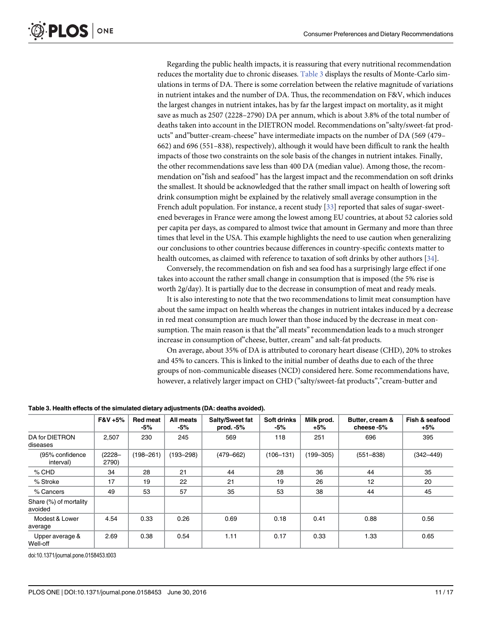Regarding the public health impacts, it is reassuring that every nutritional recommendation reduces the mortality due to chronic diseases. Table 3 displays the results of Monte-Carlo simulations in terms of DA. There is some correlation between the relative magnitude of variations in nutrient intakes and the number of DA. Thus, the recommendation on F&V, which induces the largest changes in nutrient intakes, has by far the largest impact on mortality, as it might save as much as 2507 (2228–2790) DA per annum, which is about 3.8% of the total number of deaths taken into account in the DIETRON model. Recommendations on"salty/sweet-fat products" and"butter-cream-cheese" have intermediate impacts on the number of DA (569 (479– 662) and 696 (551–838), respectively), although it would have been difficult to rank the health impacts of those two constraints on the sole basis of the changes in nutrient intakes. Finally, the other recommendations save less than 400 DA (median value). Among those, the recommendation on"fish and seafood" has the largest impact and the recommendation on soft drinks the smallest. It should be acknowledged that the rather small impact on health of lowering soft drink consumption might be explained by the relatively small average consumption in the French adult population. For instance, a recent study [33] reported that sales of sugar-sweetened beverages in France were among the lowest among EU countries, at about 52 calories sold per capita per days, as compared to almost twice that amount in Germany and more than three times that level in the USA. This example highlights the need to use caution when generalizing our conclusions to other countries because differences in country-specific contexts matter to health outcomes, as claimed with reference to taxation of soft drinks by other authors [34].

Conversely, the recommendation on fish and sea food has a surprisingly large effect if one takes into account the rather small change in consumption that is imposed (the 5% rise is worth 2g/day). It is partially due to the decrease in consumption of meat and ready meals.

It is also interesting to note that the two recommendations to limit meat consumption have about the same impact on health whereas the changes in nutrient intakes induced by a decrease in red meat consumption are much lower than those induced by the decrease in meat consumption. The main reason is that the"all meats" recommendation leads to a much stronger increase in consumption of"cheese, butter, cream" and salt-fat products.

On average, about 35% of DA is attributed to coronary heart disease (CHD), 20% to strokes and 45% to cancers. This is linked to the initial number of deaths due to each of the three groups of non-communicable diseases (NCD) considered here. Some recommendations have, however, a relatively larger impact on CHD ("salty/sweet-fat products","cream-butter and

Table 3. Health effects of the simulated dietary adjustments (DA: deaths avoided).

|                                   | $F&V+5%$           | <b>Red meat</b><br>-5% | All meats<br>-5% | Salty/Sweet fat<br>prod. $-5%$ | <b>Soft drinks</b><br>-5% | Milk prod.<br>$+5%$ | Butter, cream &<br>cheese -5% | Fish & seafood<br>$+5%$ |
|-----------------------------------|--------------------|------------------------|------------------|--------------------------------|---------------------------|---------------------|-------------------------------|-------------------------|
| DA for DIETRON<br>diseases        | 2,507              | 230                    | 245              | 569                            | 118                       | 251                 | 696                           | 395                     |
| (95% confidence<br>interval)      | $(2228 -$<br>2790) | $(198 - 261)$          | $(193 - 298)$    | $(479 - 662)$                  | $(106 - 131)$             | $(199 - 305)$       | $(551 - 838)$                 | $(342 - 449)$           |
| $%$ CHD                           | 34                 | 28                     | 21               | 44                             | 28                        | 36                  | 44                            | 35                      |
| % Stroke                          | 17                 | 19                     | 22               | 21                             | 19                        | 26                  | 12                            | 20                      |
| % Cancers                         | 49                 | 53                     | 57               | 35                             | 53                        | 38                  | 44                            | 45                      |
| Share (%) of mortality<br>avoided |                    |                        |                  |                                |                           |                     |                               |                         |
| Modest & Lower<br>average         | 4.54               | 0.33                   | 0.26             | 0.69                           | 0.18                      | 0.41                | 0.88                          | 0.56                    |
| Upper average &<br>Well-off       | 2.69               | 0.38                   | 0.54             | 1.11                           | 0.17                      | 0.33                | 1.33                          | 0.65                    |

doi:10.1371/journal.pone.0158453.t003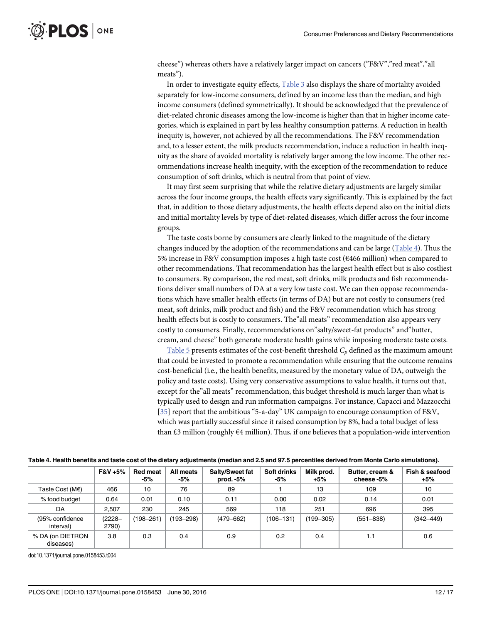cheese") whereas others have a relatively larger impact on cancers ("F&V","red meat","all meats").

In order to investigate equity effects, Table 3 also displays the share of mortality avoided separately for low-income consumers, defined by an income less than the median, and high income consumers (defined symmetrically). It should be acknowledged that the prevalence of diet-related chronic diseases among the low-income is higher than that in higher income categories, which is explained in part by less healthy consumption patterns. A reduction in health inequity is, however, not achieved by all the recommendations. The F&V recommendation and, to a lesser extent, the milk products recommendation, induce a reduction in health inequity as the share of avoided mortality is relatively larger among the low income. The other recommendations increase health inequity, with the exception of the recommendation to reduce consumption of soft drinks, which is neutral from that point of view.

It may first seem surprising that while the relative dietary adjustments are largely similar across the four income groups, the health effects vary significantly. This is explained by the fact that, in addition to those dietary adjustments, the health effects depend also on the initial diets and initial mortality levels by type of diet-related diseases, which differ across the four income groups.

The taste costs borne by consumers are clearly linked to the magnitude of the dietary changes induced by the adoption of the recommendations and can be large (Table 4). Thus the 5% increase in F&V consumption imposes a high taste cost (€466 million) when compared to other recommendations. That recommendation has the largest health effect but is also costliest to consumers. By comparison, the red meat, soft drinks, milk products and fish recommendations deliver small numbers of DA at a very low taste cost. We can then oppose recommendations which have smaller health effects (in terms of DA) but are not costly to consumers (red meat, soft drinks, milk product and fish) and the F&V recommendation which has strong health effects but is costly to consumers. The"all meats" recommendation also appears very costly to consumers. Finally, recommendations on"salty/sweet-fat products" and"butter, cream, and cheese" both generate moderate health gains while imposing moderate taste costs.

Table 5 presents estimates of the cost-benefit threshold  $C_p$  defined as the maximum amount that could be invested to promote a recommendation while ensuring that the outcome remains cost-beneficial (i.e., the health benefits, measured by the monetary value of DA, outweigh the policy and taste costs). Using very conservative assumptions to value health, it turns out that, except for the"all meats" recommendation, this budget threshold is much larger than what is typically used to design and run information campaigns. For instance, Capacci and Mazzocchi [35] report that the ambitious "5-a-day" UK campaign to encourage consumption of F&V, which was partially successful since it raised consumption by 8%, had a total budget of less than £3 million (roughly  $64$  million). Thus, if one believes that a population-wide intervention

|                               | F&V +5%            | <b>Red meat</b><br>-5% | All meats<br>-5% | Salty/Sweet fat<br>prod. $-5%$ | Soft drinks<br>-5% | Milk prod.<br>$+5%$ | Butter, cream &<br>cheese -5% | Fish & seafood<br>$+5%$ |
|-------------------------------|--------------------|------------------------|------------------|--------------------------------|--------------------|---------------------|-------------------------------|-------------------------|
| Taste Cost (M $\varepsilon$ ) | 466                | 10                     | 76               | 89                             |                    | 13                  | 109                           | 10                      |
| % food budget                 | 0.64               | 0.01                   | 0.10             | 0.11                           | 0.00               | 0.02                | 0.14                          | 0.01                    |
| DA                            | 2.507              | 230                    | 245              | 569                            | 118                | 251                 | 696                           | 395                     |
| (95% confidence<br>interval)  | $(2228 -$<br>2790) | (198–261)              | $193 - 298$      | $(479 - 662)$                  | $(106 - 131)$      | $(199 - 305)$       | $(551 - 838)$                 | $(342 - 449)$           |
| % DA (on DIETRON<br>diseases) | 3.8                | 0.3                    | 0.4              | 0.9                            | 0.2                | 0.4                 | 1.1                           | 0.6                     |

#### Table 4. Health benefits and taste cost of the dietary adjustments (median and 2.5 and 97.5 percentiles derived from Monte Carlo simulations).

doi:10.1371/journal.pone.0158453.t004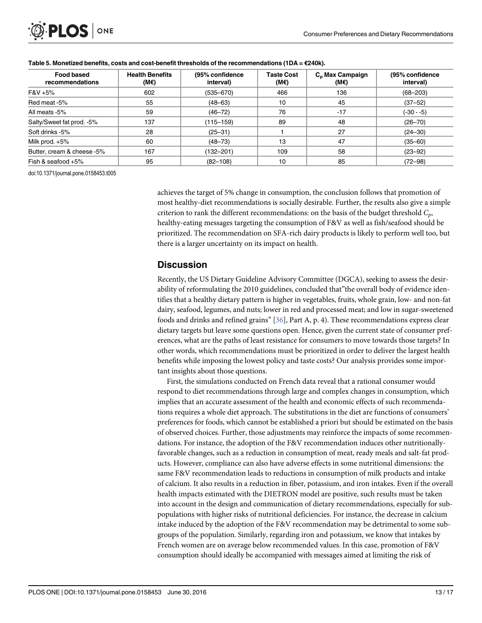| <b>Food based</b><br>recommendations | <b>Health Benefits</b><br>(M€) | (95% confidence<br>interval) | <b>Taste Cost</b><br>(M€) | C <sub>p</sub> Max Campaign<br>(ME) | (95% confidence<br>interval) |
|--------------------------------------|--------------------------------|------------------------------|---------------------------|-------------------------------------|------------------------------|
| F&V +5%                              | 602                            | $(535 - 670)$                | 466                       | 136                                 | $(68 - 203)$                 |
| Red meat -5%                         | 55                             | $(48 - 63)$                  | 10                        | 45                                  | $(37 - 52)$                  |
| All meats -5%                        | 59                             | $(46 - 72)$                  | 76                        | $-17$                               | $(-30 - 5)$                  |
| Salty/Sweet fat prod. -5%            | 137                            | $(115 - 159)$                | 89                        | 48                                  | $(26 - 70)$                  |
| Soft drinks -5%                      | 28                             | $(25 - 31)$                  |                           | 27                                  | $(24 - 30)$                  |
| Milk prod. $+5\%$                    | 60                             | $(48 - 73)$                  | 13                        | 47                                  | $(35 - 60)$                  |
| Butter, cream & cheese -5%           | 167                            | (132–201)                    | 109                       | 58                                  | $(23 - 92)$                  |
| Fish & seafood $+5\%$                | 95                             | $(82 - 108)$                 | 10                        | 85                                  | $(72 - 98)$                  |

#### Table 5. Monetized benefits, costs and cost-benefit thresholds of the recommendations (1DA =  $E$ 240k).

doi:10.1371/journal.pone.0158453.t005

achieves the target of 5% change in consumption, the conclusion follows that promotion of most healthy-diet recommendations is socially desirable. Further, the results also give a simple criterion to rank the different recommendations: on the basis of the budget threshold  $C_p$ , healthy-eating messages targeting the consumption of F&V as well as fish/seafood should be prioritized. The recommendation on SFA-rich dairy products is likely to perform well too, but there is a larger uncertainty on its impact on health.

### **Discussion**

Recently, the US Dietary Guideline Advisory Committee (DGCA), seeking to assess the desirability of reformulating the 2010 guidelines, concluded that"the overall body of evidence identifies that a healthy dietary pattern is higher in vegetables, fruits, whole grain, low- and non-fat dairy, seafood, legumes, and nuts; lower in red and processed meat; and low in sugar-sweetened foods and drinks and refined grains" [36], Part A, p. 4). These recommendations express clear dietary targets but leave some questions open. Hence, given the current state of consumer preferences, what are the paths of least resistance for consumers to move towards those targets? In other words, which recommendations must be prioritized in order to deliver the largest health benefits while imposing the lowest policy and taste costs? Our analysis provides some important insights about those questions.

First, the simulations conducted on French data reveal that a rational consumer would respond to diet recommendations through large and complex changes in consumption, which implies that an accurate assessment of the health and economic effects of such recommendations requires a whole diet approach. The substitutions in the diet are functions of consumers' preferences for foods, which cannot be established a priori but should be estimated on the basis of observed choices. Further, those adjustments may reinforce the impacts of some recommendations. For instance, the adoption of the F&V recommendation induces other nutritionallyfavorable changes, such as a reduction in consumption of meat, ready meals and salt-fat products. However, compliance can also have adverse effects in some nutritional dimensions: the same F&V recommendation leads to reductions in consumption of milk products and intake of calcium. It also results in a reduction in fiber, potassium, and iron intakes. Even if the overall health impacts estimated with the DIETRON model are positive, such results must be taken into account in the design and communication of dietary recommendations, especially for subpopulations with higher risks of nutritional deficiencies. For instance, the decrease in calcium intake induced by the adoption of the F&V recommendation may be detrimental to some subgroups of the population. Similarly, regarding iron and potassium, we know that intakes by French women are on average below recommended values. In this case, promotion of F&V consumption should ideally be accompanied with messages aimed at limiting the risk of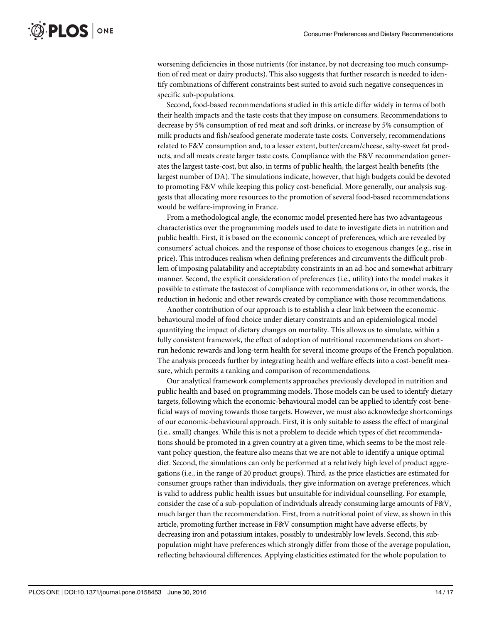worsening deficiencies in those nutrients (for instance, by not decreasing too much consumption of red meat or dairy products). This also suggests that further research is needed to identify combinations of different constraints best suited to avoid such negative consequences in specific sub-populations.

Second, food-based recommendations studied in this article differ widely in terms of both their health impacts and the taste costs that they impose on consumers. Recommendations to decrease by 5% consumption of red meat and soft drinks, or increase by 5% consumption of milk products and fish/seafood generate moderate taste costs. Conversely, recommendations related to F&V consumption and, to a lesser extent, butter/cream/cheese, salty-sweet fat products, and all meats create larger taste costs. Compliance with the F&V recommendation generates the largest taste-cost, but also, in terms of public health, the largest health benefits (the largest number of DA). The simulations indicate, however, that high budgets could be devoted to promoting F&V while keeping this policy cost-beneficial. More generally, our analysis suggests that allocating more resources to the promotion of several food-based recommendations would be welfare-improving in France.

From a methodological angle, the economic model presented here has two advantageous characteristics over the programming models used to date to investigate diets in nutrition and public health. First, it is based on the economic concept of preferences, which are revealed by consumers' actual choices, and the response of those choices to exogenous changes (e.g., rise in price). This introduces realism when defining preferences and circumvents the difficult problem of imposing palatability and acceptability constraints in an ad-hoc and somewhat arbitrary manner. Second, the explicit consideration of preferences (i.e., utility) into the model makes it possible to estimate the tastecost of compliance with recommendations or, in other words, the reduction in hedonic and other rewards created by compliance with those recommendations.

Another contribution of our approach is to establish a clear link between the economicbehavioural model of food choice under dietary constraints and an epidemiological model quantifying the impact of dietary changes on mortality. This allows us to simulate, within a fully consistent framework, the effect of adoption of nutritional recommendations on shortrun hedonic rewards and long-term health for several income groups of the French population. The analysis proceeds further by integrating health and welfare effects into a cost-benefit measure, which permits a ranking and comparison of recommendations.

Our analytical framework complements approaches previously developed in nutrition and public health and based on programming models. Those models can be used to identify dietary targets, following which the economic-behavioural model can be applied to identify cost-beneficial ways of moving towards those targets. However, we must also acknowledge shortcomings of our economic-behavioural approach. First, it is only suitable to assess the effect of marginal (i.e., small) changes. While this is not a problem to decide which types of diet recommendations should be promoted in a given country at a given time, which seems to be the most relevant policy question, the feature also means that we are not able to identify a unique optimal diet. Second, the simulations can only be performed at a relatively high level of product aggregations (i.e., in the range of 20 product groups). Third, as the price elasticties are estimated for consumer groups rather than individuals, they give information on average preferences, which is valid to address public health issues but unsuitable for individual counselling. For example, consider the case of a sub-population of individuals already consuming large amounts of F&V, much larger than the recommendation. First, from a nutritional point of view, as shown in this article, promoting further increase in F&V consumption might have adverse effects, by decreasing iron and potassium intakes, possibly to undesirably low levels. Second, this subpopulation might have preferences which strongly differ from those of the average population, reflecting behavioural differences. Applying elasticities estimated for the whole population to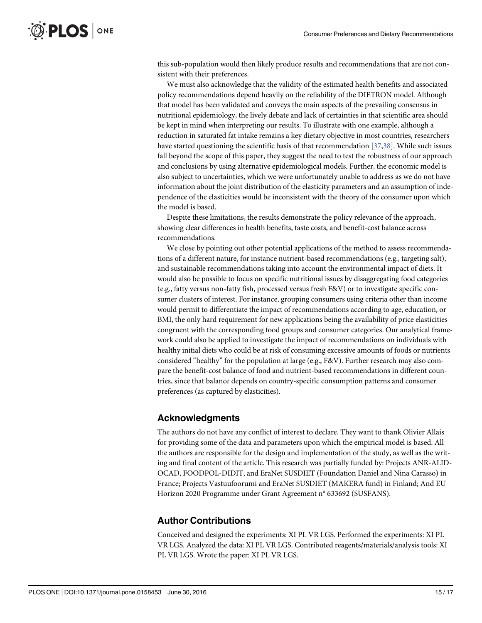this sub-population would then likely produce results and recommendations that are not consistent with their preferences.

We must also acknowledge that the validity of the estimated health benefits and associated policy recommendations depend heavily on the reliability of the DIETRON model. Although that model has been validated and conveys the main aspects of the prevailing consensus in nutritional epidemiology, the lively debate and lack of certainties in that scientific area should be kept in mind when interpreting our results. To illustrate with one example, although a reduction in saturated fat intake remains a key dietary objective in most countries, researchers have started questioning the scientific basis of that recommendation [37,38]. While such issues fall beyond the scope of this paper, they suggest the need to test the robustness of our approach and conclusions by using alternative epidemiological models. Further, the economic model is also subject to uncertainties, which we were unfortunately unable to address as we do not have information about the joint distribution of the elasticity parameters and an assumption of independence of the elasticities would be inconsistent with the theory of the consumer upon which the model is based.

Despite these limitations, the results demonstrate the policy relevance of the approach, showing clear differences in health benefits, taste costs, and benefit-cost balance across recommendations.

We close by pointing out other potential applications of the method to assess recommendations of a different nature, for instance nutrient-based recommendations (e.g., targeting salt), and sustainable recommendations taking into account the environmental impact of diets. It would also be possible to focus on specific nutritional issues by disaggregating food categories (e.g., fatty versus non-fatty fish, processed versus fresh F&V) or to investigate specific consumer clusters of interest. For instance, grouping consumers using criteria other than income would permit to differentiate the impact of recommendations according to age, education, or BMI, the only hard requirement for new applications being the availability of price elasticities congruent with the corresponding food groups and consumer categories. Our analytical framework could also be applied to investigate the impact of recommendations on individuals with healthy initial diets who could be at risk of consuming excessive amounts of foods or nutrients considered "healthy" for the population at large (e.g., F&V). Further research may also compare the benefit-cost balance of food and nutrient-based recommendations in different countries, since that balance depends on country-specific consumption patterns and consumer preferences (as captured by elasticities).

#### Acknowledgments

The authors do not have any conflict of interest to declare. They want to thank Olivier Allais for providing some of the data and parameters upon which the empirical model is based. All the authors are responsible for the design and implementation of the study, as well as the writing and final content of the article. This research was partially funded by: Projects ANR-ALID-OCAD, FOODPOL-DIDIT, and EraNet SUSDIET (Foundation Daniel and Nina Carasso) in France; Projects Vastuufoorumi and EraNet SUSDIET (MAKERA fund) in Finland; And EU Horizon 2020 Programme under Grant Agreement n° 633692 (SUSFANS).

#### Author Contributions

Conceived and designed the experiments: XI PL VR LGS. Performed the experiments: XI PL VR LGS. Analyzed the data: XI PL VR LGS. Contributed reagents/materials/analysis tools: XI PL VR LGS. Wrote the paper: XI PL VR LGS.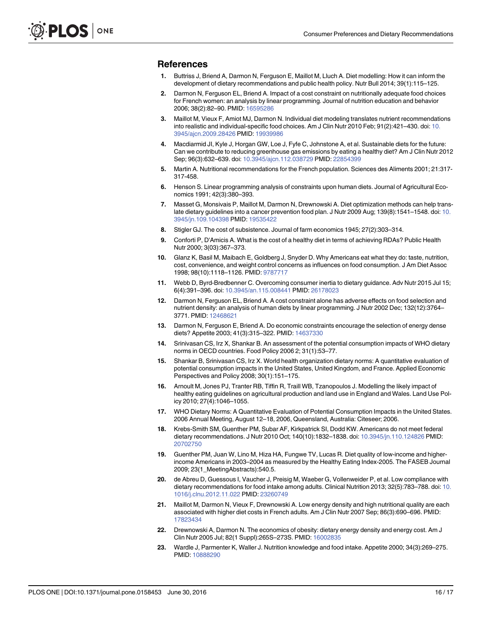#### References

- 1. Buttriss J, Briend A, Darmon N, Ferguson E, Maillot M, Lluch A. Diet modelling: How it can inform the development of dietary recommendations and public health policy. Nutr Bull 2014; 39(1):115–125.
- 2. Darmon N, Ferguson EL, Briend A. Impact of a cost constraint on nutritionally adequate food choices for French women: an analysis by linear programming. Journal of nutrition education and behavior 2006; 38(2):82–90. PMID: [16595286](http://www.ncbi.nlm.nih.gov/pubmed/16595286)
- 3. Maillot M, Vieux F, Amiot MJ, Darmon N. Individual diet modeling translates nutrient recommendations into realistic and individual-specific food choices. Am J Clin Nutr 2010 Feb; 91(2):421–430. doi: [10.](http://dx.doi.org/10.3945/ajcn.2009.28426) [3945/ajcn.2009.28426](http://dx.doi.org/10.3945/ajcn.2009.28426) PMID: [19939986](http://www.ncbi.nlm.nih.gov/pubmed/19939986)
- 4. Macdiarmid JI, Kyle J, Horgan GW, Loe J, Fyfe C, Johnstone A, et al. Sustainable diets for the future: Can we contribute to reducing greenhouse gas emissions by eating a healthy diet? Am J Clin Nutr 2012 Sep; 96(3):632–639. doi: [10.3945/ajcn.112.038729](http://dx.doi.org/10.3945/ajcn.112.038729) PMID: [22854399](http://www.ncbi.nlm.nih.gov/pubmed/22854399)
- 5. Martin A. Nutritional recommendations for the French population. Sciences des Aliments 2001; 21:317- 317-458.
- 6. Henson S. Linear programming analysis of constraints upon human diets. Journal of Agricultural Economics 1991; 42(3):380–393.
- 7. Masset G, Monsivais P, Maillot M, Darmon N, Drewnowski A. Diet optimization methods can help trans-late dietary guidelines into a cancer prevention food plan. J Nutr 2009 Aug; 139(8):1541-1548. doi: [10.](http://dx.doi.org/10.3945/jn.109.104398) [3945/jn.109.104398](http://dx.doi.org/10.3945/jn.109.104398) PMID: [19535422](http://www.ncbi.nlm.nih.gov/pubmed/19535422)
- 8. Stigler GJ. The cost of subsistence. Journal of farm economics 1945; 27(2):303–314.
- 9. Conforti P, D'Amicis A. What is the cost of a healthy diet in terms of achieving RDAs? Public Health Nutr 2000; 3(03):367–373.
- 10. Glanz K, Basil M, Maibach E, Goldberg J, Snyder D. Why Americans eat what they do: taste, nutrition, cost, convenience, and weight control concerns as influences on food consumption. J Am Diet Assoc 1998; 98(10):1118–1126. PMID: [9787717](http://www.ncbi.nlm.nih.gov/pubmed/9787717)
- 11. Webb D, Byrd-Bredbenner C. Overcoming consumer inertia to dietary guidance. Adv Nutr 2015 Jul 15; 6(4):391–396. doi: [10.3945/an.115.008441](http://dx.doi.org/10.3945/an.115.008441) PMID: [26178023](http://www.ncbi.nlm.nih.gov/pubmed/26178023)
- 12. Darmon N, Ferguson EL, Briend A. A cost constraint alone has adverse effects on food selection and nutrient density: an analysis of human diets by linear programming. J Nutr 2002 Dec; 132(12):3764– 3771. PMID: [12468621](http://www.ncbi.nlm.nih.gov/pubmed/12468621)
- 13. Darmon N, Ferguson E, Briend A. Do economic constraints encourage the selection of energy dense diets? Appetite 2003; 41(3):315-322. PMID: [14637330](http://www.ncbi.nlm.nih.gov/pubmed/14637330)
- 14. Srinivasan CS, Irz X, Shankar B. An assessment of the potential consumption impacts of WHO dietary norms in OECD countries. Food Policy 2006 2; 31(1):53–77.
- 15. Shankar B, Srinivasan CS, Irz X. World health organization dietary norms: A quantitative evaluation of potential consumption impacts in the United States, United Kingdom, and France. Applied Economic Perspectives and Policy 2008; 30(1):151–175.
- 16. Arnoult M, Jones PJ, Tranter RB, Tiffin R, Traill WB, Tzanopoulos J. Modelling the likely impact of healthy eating guidelines on agricultural production and land use in England and Wales. Land Use Policy 2010; 27(4):1046–1055.
- 17. WHO Dietary Norms: A Quantitative Evaluation of Potential Consumption Impacts in the United States. 2006 Annual Meeting, August 12–18, 2006, Queensland, Australia: Citeseer; 2006.
- 18. Krebs-Smith SM, Guenther PM, Subar AF, Kirkpatrick SI, Dodd KW. Americans do not meet federal dietary recommendations. J Nutr 2010 Oct; 140(10):1832–1838. doi: [10.3945/jn.110.124826](http://dx.doi.org/10.3945/jn.110.124826) PMID: [20702750](http://www.ncbi.nlm.nih.gov/pubmed/20702750)
- 19. Guenther PM, Juan W, Lino M, Hiza HA, Fungwe TV, Lucas R. Diet quality of low-income and higherincome Americans in 2003–2004 as measured by the Healthy Eating Index-2005. The FASEB Journal 2009; 23(1\_MeetingAbstracts):540.5.
- 20. de Abreu D, Guessous I, Vaucher J, Preisig M, Waeber G, Vollenweider P, et al. Low compliance with dietary recommendations for food intake among adults. Clinical Nutrition 2013; 32(5):783–788. doi: [10.](http://dx.doi.org/10.1016/j.clnu.2012.11.022) [1016/j.clnu.2012.11.022](http://dx.doi.org/10.1016/j.clnu.2012.11.022) PMID: [23260749](http://www.ncbi.nlm.nih.gov/pubmed/23260749)
- 21. Maillot M, Darmon N, Vieux F, Drewnowski A. Low energy density and high nutritional quality are each associated with higher diet costs in French adults. Am J Clin Nutr 2007 Sep; 86(3):690–696. PMID: [17823434](http://www.ncbi.nlm.nih.gov/pubmed/17823434)
- 22. Drewnowski A, Darmon N. The economics of obesity: dietary energy density and energy cost. Am J Clin Nutr 2005 Jul; 82(1 Suppl):265S–273S. PMID: [16002835](http://www.ncbi.nlm.nih.gov/pubmed/16002835)
- 23. Wardle J, Parmenter K, Waller J. Nutrition knowledge and food intake. Appetite 2000; 34(3):269–275. PMID: [10888290](http://www.ncbi.nlm.nih.gov/pubmed/10888290)